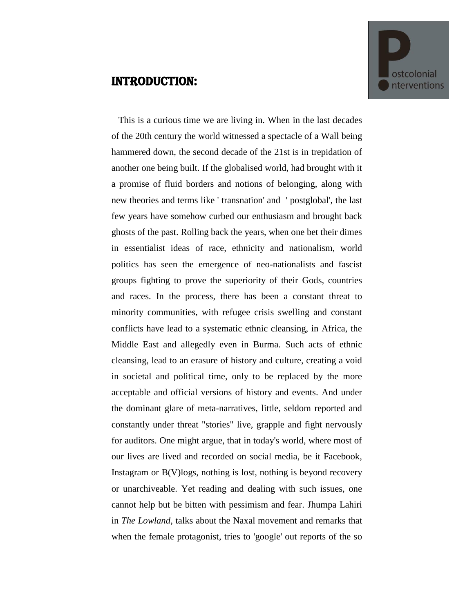## Introduction:



 This is a curious time we are living in. When in the last decades of the 20th century the world witnessed a spectacle of a Wall being hammered down, the second decade of the 21st is in trepidation of another one being built. If the globalised world, had brought with it a promise of fluid borders and notions of belonging, along with new theories and terms like ' transnation' and ' postglobal', the last few years have somehow curbed our enthusiasm and brought back ghosts of the past. Rolling back the years, when one bet their dimes in essentialist ideas of race, ethnicity and nationalism, world politics has seen the emergence of neo-nationalists and fascist groups fighting to prove the superiority of their Gods, countries and races. In the process, there has been a constant threat to minority communities, with refugee crisis swelling and constant conflicts have lead to a systematic ethnic cleansing, in Africa, the Middle East and allegedly even in Burma. Such acts of ethnic cleansing, lead to an erasure of history and culture, creating a void in societal and political time, only to be replaced by the more acceptable and official versions of history and events. And under the dominant glare of meta-narratives, little, seldom reported and constantly under threat "stories" live, grapple and fight nervously for auditors. One might argue, that in today's world, where most of our lives are lived and recorded on social media, be it Facebook, Instagram or  $B(V)$ logs, nothing is lost, nothing is beyond recovery or unarchiveable. Yet reading and dealing with such issues, one cannot help but be bitten with pessimism and fear. Jhumpa Lahiri in *The Lowland*, talks about the Naxal movement and remarks that when the female protagonist, tries to 'google' out reports of the so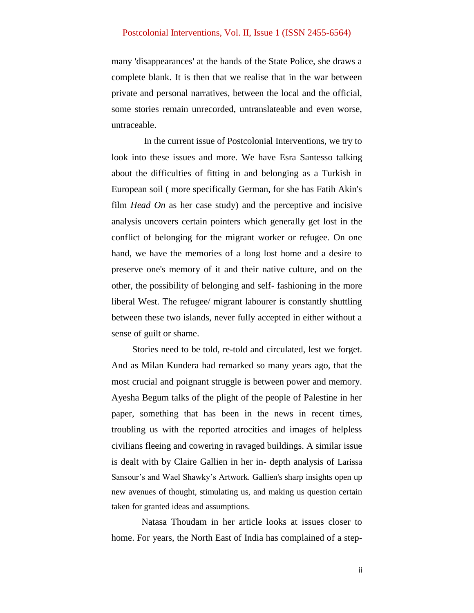## Postcolonial Interventions, Vol. II, Issue 1 (ISSN 2455-6564)

many 'disappearances' at the hands of the State Police, she draws a complete blank. It is then that we realise that in the war between private and personal narratives, between the local and the official, some stories remain unrecorded, untranslateable and even worse, untraceable.

 In the current issue of Postcolonial Interventions, we try to look into these issues and more. We have Esra Santesso talking about the difficulties of fitting in and belonging as a Turkish in European soil ( more specifically German, for she has Fatih Akin's film *Head On* as her case study) and the perceptive and incisive analysis uncovers certain pointers which generally get lost in the conflict of belonging for the migrant worker or refugee. On one hand, we have the memories of a long lost home and a desire to preserve one's memory of it and their native culture, and on the other, the possibility of belonging and self- fashioning in the more liberal West. The refugee/ migrant labourer is constantly shuttling between these two islands, never fully accepted in either without a sense of guilt or shame.

 Stories need to be told, re-told and circulated, lest we forget. And as Milan Kundera had remarked so many years ago, that the most crucial and poignant struggle is between power and memory. Ayesha Begum talks of the plight of the people of Palestine in her paper, something that has been in the news in recent times, troubling us with the reported atrocities and images of helpless civilians fleeing and cowering in ravaged buildings. A similar issue is dealt with by Claire Gallien in her in- depth analysis of Larissa Sansour's and Wael Shawky's Artwork. Gallien's sharp insights open up new avenues of thought, stimulating us, and making us question certain taken for granted ideas and assumptions.

 Natasa Thoudam in her article looks at issues closer to home. For years, the North East of India has complained of a step-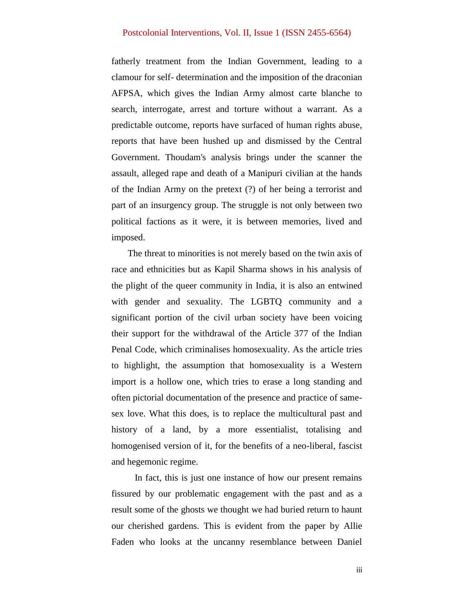## Postcolonial Interventions, Vol. II, Issue 1 (ISSN 2455-6564)

fatherly treatment from the Indian Government, leading to a clamour for self- determination and the imposition of the draconian AFPSA, which gives the Indian Army almost carte blanche to search, interrogate, arrest and torture without a warrant. As a predictable outcome, reports have surfaced of human rights abuse, reports that have been hushed up and dismissed by the Central Government. Thoudam's analysis brings under the scanner the assault, alleged rape and death of a Manipuri civilian at the hands of the Indian Army on the pretext (?) of her being a terrorist and part of an insurgency group. The struggle is not only between two political factions as it were, it is between memories, lived and imposed.

 The threat to minorities is not merely based on the twin axis of race and ethnicities but as Kapil Sharma shows in his analysis of the plight of the queer community in India, it is also an entwined with gender and sexuality. The LGBTQ community and a significant portion of the civil urban society have been voicing their support for the withdrawal of the Article 377 of the Indian Penal Code, which criminalises homosexuality. As the article tries to highlight, the assumption that homosexuality is a Western import is a hollow one, which tries to erase a long standing and often pictorial documentation of the presence and practice of samesex love. What this does, is to replace the multicultural past and history of a land, by a more essentialist, totalising and homogenised version of it, for the benefits of a neo-liberal, fascist and hegemonic regime.

 In fact, this is just one instance of how our present remains fissured by our problematic engagement with the past and as a result some of the ghosts we thought we had buried return to haunt our cherished gardens. This is evident from the paper by Allie Faden who looks at the uncanny resemblance between Daniel